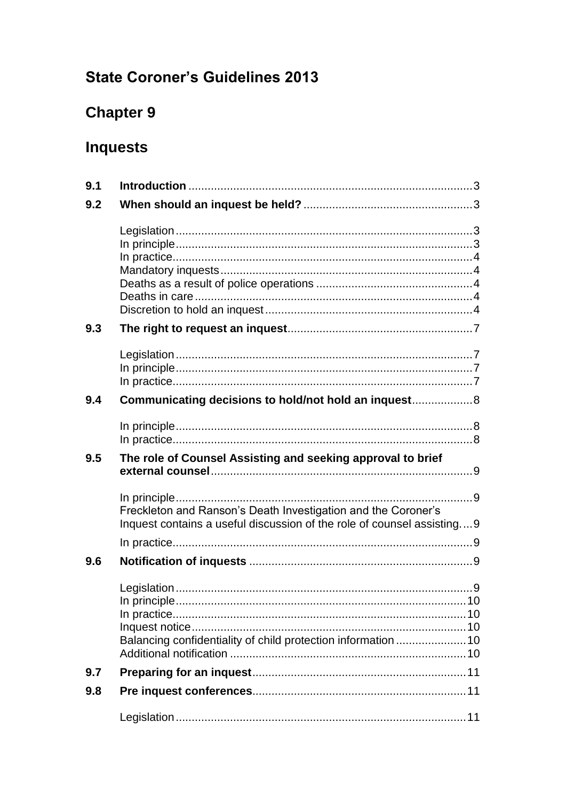# **State Coroner's Guidelines 2013**

# **Chapter 9**

# **Inquests**

| 9.1 |                                                                                                                                         |  |
|-----|-----------------------------------------------------------------------------------------------------------------------------------------|--|
| 9.2 |                                                                                                                                         |  |
|     |                                                                                                                                         |  |
| 9.3 |                                                                                                                                         |  |
|     |                                                                                                                                         |  |
| 9.4 | Communicating decisions to hold/not hold an inquest 8                                                                                   |  |
|     |                                                                                                                                         |  |
| 9.5 | The role of Counsel Assisting and seeking approval to brief                                                                             |  |
|     | Freckleton and Ranson's Death Investigation and the Coroner's<br>Inquest contains a useful discussion of the role of counsel assisting9 |  |
| 9.6 |                                                                                                                                         |  |
|     | Balancing confidentiality of child protection information  10                                                                           |  |
| 9.7 |                                                                                                                                         |  |
| 9.8 |                                                                                                                                         |  |
|     |                                                                                                                                         |  |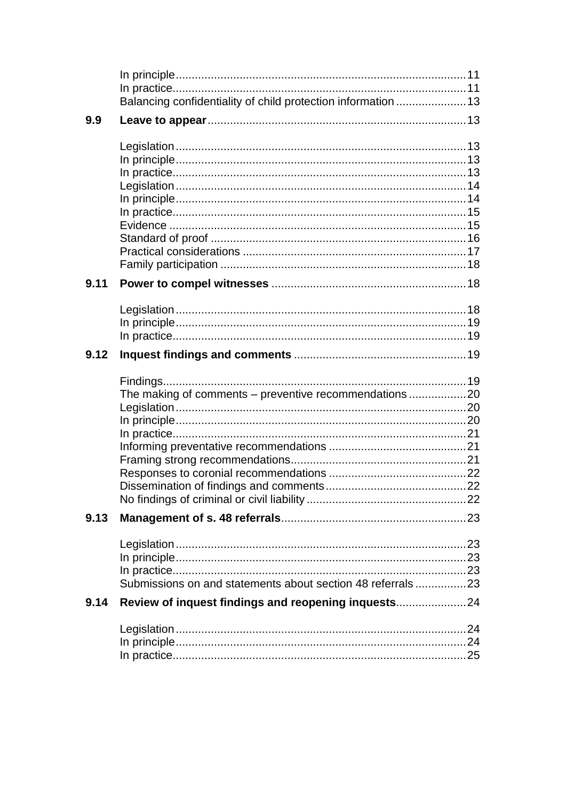<span id="page-1-0"></span>

|      | Balancing confidentiality of child protection information  13 |  |
|------|---------------------------------------------------------------|--|
| 9.9  |                                                               |  |
|      |                                                               |  |
|      |                                                               |  |
|      |                                                               |  |
|      |                                                               |  |
|      |                                                               |  |
|      |                                                               |  |
|      |                                                               |  |
|      |                                                               |  |
|      |                                                               |  |
|      |                                                               |  |
| 9.11 |                                                               |  |
|      |                                                               |  |
|      |                                                               |  |
|      |                                                               |  |
| 9.12 |                                                               |  |
|      |                                                               |  |
|      | The making of comments - preventive recommendations 20        |  |
|      |                                                               |  |
|      |                                                               |  |
|      |                                                               |  |
|      |                                                               |  |
|      |                                                               |  |
|      |                                                               |  |
|      |                                                               |  |
|      |                                                               |  |
| 9.13 |                                                               |  |
|      |                                                               |  |
|      |                                                               |  |
|      |                                                               |  |
|      | Submissions on and statements about section 48 referrals23    |  |
| 9.14 | Review of inquest findings and reopening inquests24           |  |
|      |                                                               |  |
|      |                                                               |  |
|      |                                                               |  |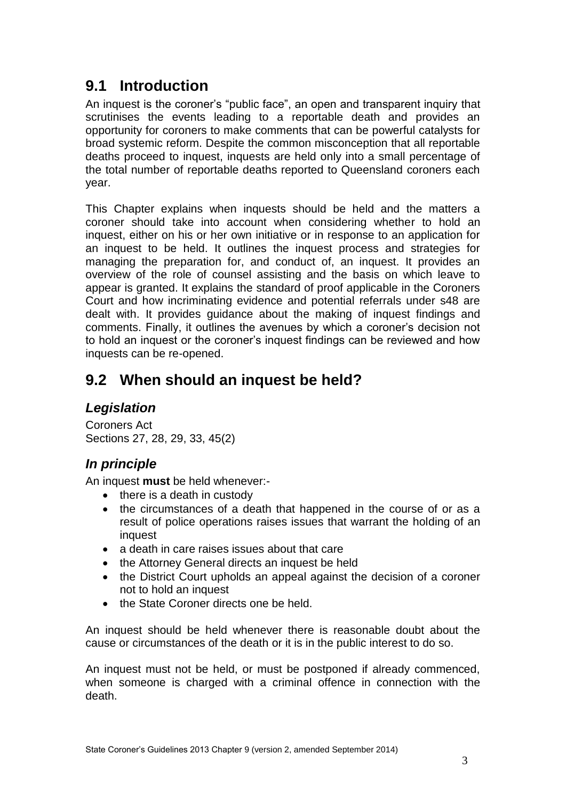# **9.1 Introduction**

An inquest is the coroner's "public face", an open and transparent inquiry that scrutinises the events leading to a reportable death and provides an opportunity for coroners to make comments that can be powerful catalysts for broad systemic reform. Despite the common misconception that all reportable deaths proceed to inquest, inquests are held only into a small percentage of the total number of reportable deaths reported to Queensland coroners each year.

This Chapter explains when inquests should be held and the matters a coroner should take into account when considering whether to hold an inquest, either on his or her own initiative or in response to an application for an inquest to be held. It outlines the inquest process and strategies for managing the preparation for, and conduct of, an inquest. It provides an overview of the role of counsel assisting and the basis on which leave to appear is granted. It explains the standard of proof applicable in the Coroners Court and how incriminating evidence and potential referrals under s48 are dealt with. It provides guidance about the making of inquest findings and comments. Finally, it outlines the avenues by which a coroner's decision not to hold an inquest or the coroner's inquest findings can be reviewed and how inquests can be re-opened.

# <span id="page-2-0"></span>**9.2 When should an inquest be held?**

## <span id="page-2-1"></span>*Legislation*

Coroners Act Sections 27, 28, 29, 33, 45(2)

## <span id="page-2-2"></span>*In principle*

An inquest **must** be held whenever:-

- $\bullet$  there is a death in custody
- the circumstances of a death that happened in the course of or as a result of police operations raises issues that warrant the holding of an inquest
- a death in care raises issues about that care
- the Attorney General directs an inquest be held
- the District Court upholds an appeal against the decision of a coroner not to hold an inquest
- the State Coroner directs one be held.

An inquest should be held whenever there is reasonable doubt about the cause or circumstances of the death or it is in the public interest to do so.

An inquest must not be held, or must be postponed if already commenced, when someone is charged with a criminal offence in connection with the death.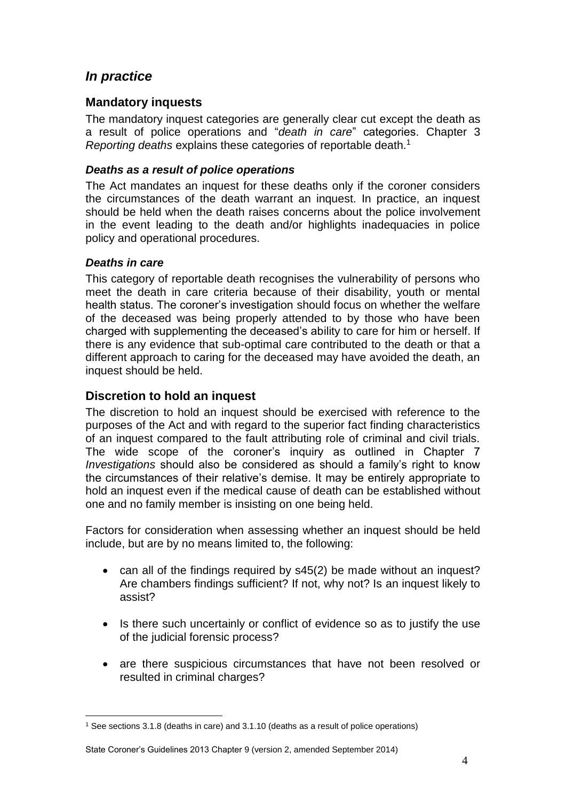## <span id="page-3-0"></span>*In practice*

### <span id="page-3-1"></span>**Mandatory inquests**

The mandatory inquest categories are generally clear cut except the death as a result of police operations and "*death in care*" categories. Chapter 3 *Reporting deaths* explains these categories of reportable death.<sup>1</sup>

### <span id="page-3-2"></span>*Deaths as a result of police operations*

The Act mandates an inquest for these deaths only if the coroner considers the circumstances of the death warrant an inquest. In practice, an inquest should be held when the death raises concerns about the police involvement in the event leading to the death and/or highlights inadequacies in police policy and operational procedures.

### <span id="page-3-3"></span>*Deaths in care*

<u>.</u>

This category of reportable death recognises the vulnerability of persons who meet the death in care criteria because of their disability, youth or mental health status. The coroner's investigation should focus on whether the welfare of the deceased was being properly attended to by those who have been charged with supplementing the deceased's ability to care for him or herself. If there is any evidence that sub-optimal care contributed to the death or that a different approach to caring for the deceased may have avoided the death, an inquest should be held.

### <span id="page-3-4"></span>**Discretion to hold an inquest**

The discretion to hold an inquest should be exercised with reference to the purposes of the Act and with regard to the superior fact finding characteristics of an inquest compared to the fault attributing role of criminal and civil trials. The wide scope of the coroner's inquiry as outlined in Chapter 7 *Investigations* should also be considered as should a family's right to know the circumstances of their relative's demise. It may be entirely appropriate to hold an inquest even if the medical cause of death can be established without one and no family member is insisting on one being held.

Factors for consideration when assessing whether an inquest should be held include, but are by no means limited to, the following:

- can all of the findings required by s45(2) be made without an inquest? Are chambers findings sufficient? If not, why not? Is an inquest likely to assist?
- Is there such uncertainly or conflict of evidence so as to justify the use of the judicial forensic process?
- are there suspicious circumstances that have not been resolved or resulted in criminal charges?

<sup>1</sup> See sections 3.1.8 (deaths in care) and 3.1.10 (deaths as a result of police operations)

State Coroner's Guidelines 2013 Chapter 9 (version 2, amended September 2014)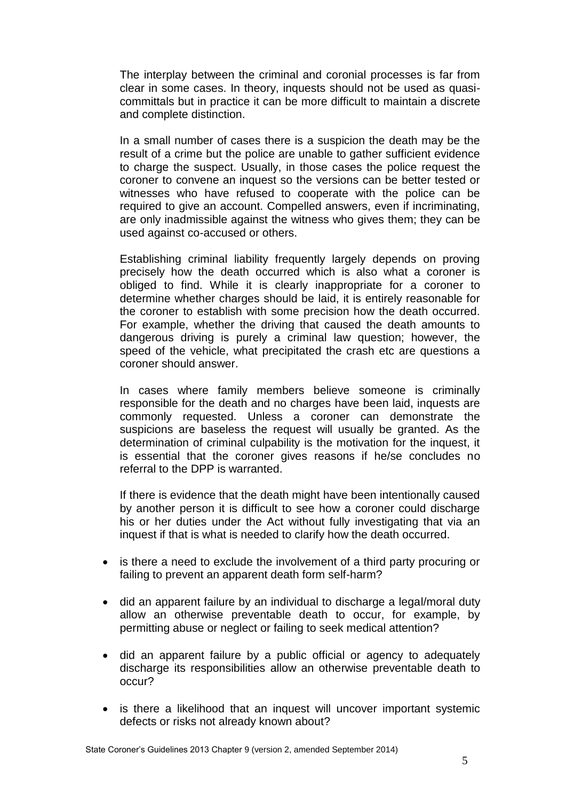The interplay between the criminal and coronial processes is far from clear in some cases. In theory, inquests should not be used as quasicommittals but in practice it can be more difficult to maintain a discrete and complete distinction.

In a small number of cases there is a suspicion the death may be the result of a crime but the police are unable to gather sufficient evidence to charge the suspect. Usually, in those cases the police request the coroner to convene an inquest so the versions can be better tested or witnesses who have refused to cooperate with the police can be required to give an account. Compelled answers, even if incriminating, are only inadmissible against the witness who gives them; they can be used against co-accused or others.

Establishing criminal liability frequently largely depends on proving precisely how the death occurred which is also what a coroner is obliged to find. While it is clearly inappropriate for a coroner to determine whether charges should be laid, it is entirely reasonable for the coroner to establish with some precision how the death occurred. For example, whether the driving that caused the death amounts to dangerous driving is purely a criminal law question; however, the speed of the vehicle, what precipitated the crash etc are questions a coroner should answer.

In cases where family members believe someone is criminally responsible for the death and no charges have been laid, inquests are commonly requested. Unless a coroner can demonstrate the suspicions are baseless the request will usually be granted. As the determination of criminal culpability is the motivation for the inquest, it is essential that the coroner gives reasons if he/se concludes no referral to the DPP is warranted.

If there is evidence that the death might have been intentionally caused by another person it is difficult to see how a coroner could discharge his or her duties under the Act without fully investigating that via an inquest if that is what is needed to clarify how the death occurred.

- is there a need to exclude the involvement of a third party procuring or failing to prevent an apparent death form self-harm?
- did an apparent failure by an individual to discharge a legal/moral duty allow an otherwise preventable death to occur, for example, by permitting abuse or neglect or failing to seek medical attention?
- did an apparent failure by a public official or agency to adequately discharge its responsibilities allow an otherwise preventable death to occur?
- is there a likelihood that an inquest will uncover important systemic defects or risks not already known about?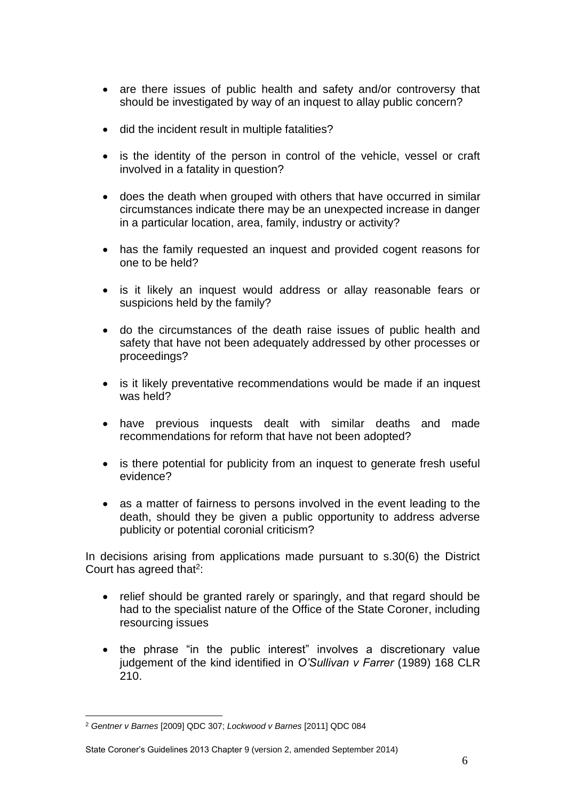- are there issues of public health and safety and/or controversy that should be investigated by way of an inquest to allay public concern?
- did the incident result in multiple fatalities?
- is the identity of the person in control of the vehicle, vessel or craft involved in a fatality in question?
- does the death when grouped with others that have occurred in similar circumstances indicate there may be an unexpected increase in danger in a particular location, area, family, industry or activity?
- has the family requested an inquest and provided cogent reasons for one to be held?
- is it likely an inquest would address or allay reasonable fears or suspicions held by the family?
- do the circumstances of the death raise issues of public health and safety that have not been adequately addressed by other processes or proceedings?
- is it likely preventative recommendations would be made if an inquest was held?
- have previous inquests dealt with similar deaths and made recommendations for reform that have not been adopted?
- is there potential for publicity from an inquest to generate fresh useful evidence?
- as a matter of fairness to persons involved in the event leading to the death, should they be given a public opportunity to address adverse publicity or potential coronial criticism?

In decisions arising from applications made pursuant to s.30(6) the District Court has agreed that $2$ :

- relief should be granted rarely or sparingly, and that regard should be had to the specialist nature of the Office of the State Coroner, including resourcing issues
- the phrase "in the public interest" involves a discretionary value judgement of the kind identified in *O'Sullivan v Farrer* (1989) 168 CLR 210.

<sup>&</sup>lt;u>.</u> <sup>2</sup> *Gentner v Barnes* [2009] QDC 307; *Lockwood v Barnes* [2011] QDC 084

State Coroner's Guidelines 2013 Chapter 9 (version 2, amended September 2014)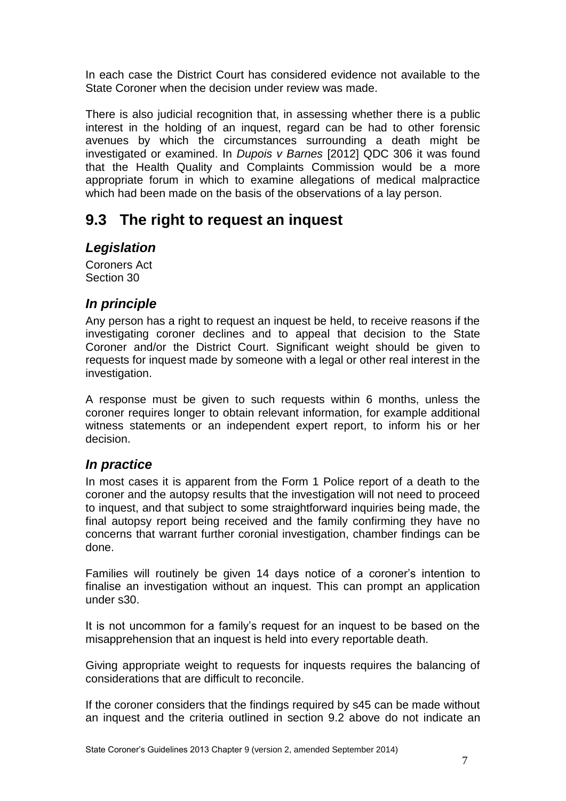In each case the District Court has considered evidence not available to the State Coroner when the decision under review was made.

There is also judicial recognition that, in assessing whether there is a public interest in the holding of an inquest, regard can be had to other forensic avenues by which the circumstances surrounding a death might be investigated or examined. In *Dupois v Barnes* [2012] QDC 306 it was found that the Health Quality and Complaints Commission would be a more appropriate forum in which to examine allegations of medical malpractice which had been made on the basis of the observations of a lay person.

# <span id="page-6-0"></span>**9.3 The right to request an inquest**

## <span id="page-6-1"></span>*Legislation*

Coroners Act Section 30

## <span id="page-6-2"></span>*In principle*

Any person has a right to request an inquest be held, to receive reasons if the investigating coroner declines and to appeal that decision to the State Coroner and/or the District Court. Significant weight should be given to requests for inquest made by someone with a legal or other real interest in the investigation.

A response must be given to such requests within 6 months, unless the coroner requires longer to obtain relevant information, for example additional witness statements or an independent expert report, to inform his or her decision.

## <span id="page-6-3"></span>*In practice*

In most cases it is apparent from the Form 1 Police report of a death to the coroner and the autopsy results that the investigation will not need to proceed to inquest, and that subject to some straightforward inquiries being made, the final autopsy report being received and the family confirming they have no concerns that warrant further coronial investigation, chamber findings can be done.

Families will routinely be given 14 days notice of a coroner's intention to finalise an investigation without an inquest. This can prompt an application under s30.

It is not uncommon for a family's request for an inquest to be based on the misapprehension that an inquest is held into every reportable death.

Giving appropriate weight to requests for inquests requires the balancing of considerations that are difficult to reconcile.

If the coroner considers that the findings required by s45 can be made without an inquest and the criteria outlined in section 9.2 above do not indicate an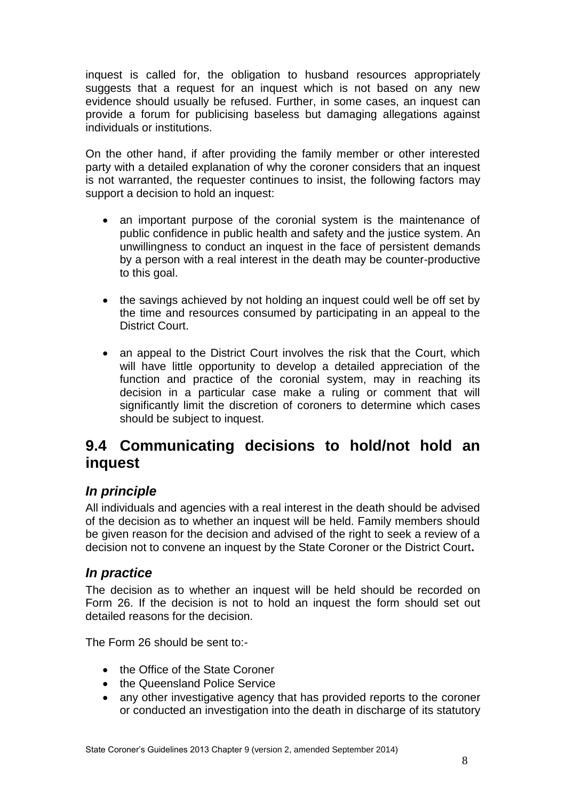inquest is called for, the obligation to husband resources appropriately suggests that a request for an inquest which is not based on any new evidence should usually be refused. Further, in some cases, an inquest can provide a forum for publicising baseless but damaging allegations against individuals or institutions.

On the other hand, if after providing the family member or other interested party with a detailed explanation of why the coroner considers that an inquest is not warranted, the requester continues to insist, the following factors may support a decision to hold an inquest:

- an important purpose of the coronial system is the maintenance of public confidence in public health and safety and the justice system. An unwillingness to conduct an inquest in the face of persistent demands by a person with a real interest in the death may be counter-productive to this goal.
- the savings achieved by not holding an inquest could well be off set by the time and resources consumed by participating in an appeal to the District Court.
- an appeal to the District Court involves the risk that the Court, which will have little opportunity to develop a detailed appreciation of the function and practice of the coronial system, may in reaching its decision in a particular case make a ruling or comment that will significantly limit the discretion of coroners to determine which cases should be subject to inquest.

## <span id="page-7-0"></span>**9.4 Communicating decisions to hold/not hold an inquest**

## <span id="page-7-1"></span>*In principle*

All individuals and agencies with a real interest in the death should be advised of the decision as to whether an inquest will be held. Family members should be given reason for the decision and advised of the right to seek a review of a decision not to convene an inquest by the State Coroner or the District Court**.**

## <span id="page-7-2"></span>*In practice*

The decision as to whether an inquest will be held should be recorded on Form 26. If the decision is not to hold an inquest the form should set out detailed reasons for the decision.

The Form 26 should be sent to:-

- the Office of the State Coroner
- the Queensland Police Service
- any other investigative agency that has provided reports to the coroner or conducted an investigation into the death in discharge of its statutory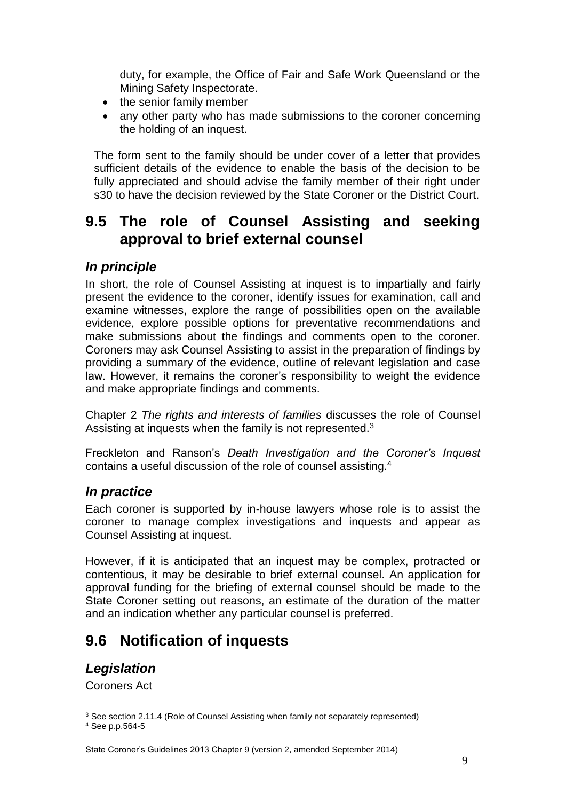duty, for example, the Office of Fair and Safe Work Queensland or the Mining Safety Inspectorate.

- the senior family member
- any other party who has made submissions to the coroner concerning the holding of an inquest.

The form sent to the family should be under cover of a letter that provides sufficient details of the evidence to enable the basis of the decision to be fully appreciated and should advise the family member of their right under s30 to have the decision reviewed by the State Coroner or the District Court.

# <span id="page-8-0"></span>**9.5 The role of Counsel Assisting and seeking approval to brief external counsel**

## <span id="page-8-1"></span>*In principle*

In short, the role of Counsel Assisting at inquest is to impartially and fairly present the evidence to the coroner, identify issues for examination, call and examine witnesses, explore the range of possibilities open on the available evidence, explore possible options for preventative recommendations and make submissions about the findings and comments open to the coroner. Coroners may ask Counsel Assisting to assist in the preparation of findings by providing a summary of the evidence, outline of relevant legislation and case law. However, it remains the coroner's responsibility to weight the evidence and make appropriate findings and comments.

Chapter 2 *The rights and interests of families* discusses the role of Counsel Assisting at inquests when the family is not represented.<sup>3</sup>

<span id="page-8-2"></span>Freckleton and Ranson's *Death Investigation and the Coroner's Inquest* contains a useful discussion of the role of counsel assisting.<sup>4</sup>

## <span id="page-8-3"></span>*In practice*

Each coroner is supported by in-house lawyers whose role is to assist the coroner to manage complex investigations and inquests and appear as Counsel Assisting at inquest.

However, if it is anticipated that an inquest may be complex, protracted or contentious, it may be desirable to brief external counsel. An application for approval funding for the briefing of external counsel should be made to the State Coroner setting out reasons, an estimate of the duration of the matter and an indication whether any particular counsel is preferred.

# <span id="page-8-4"></span>**9.6 Notification of inquests**

## <span id="page-8-5"></span>*Legislation*

Coroners Act

1

<sup>&</sup>lt;sup>3</sup> See section 2.11.4 (Role of Counsel Assisting when family not separately represented)

<sup>4</sup> See p.p.564-5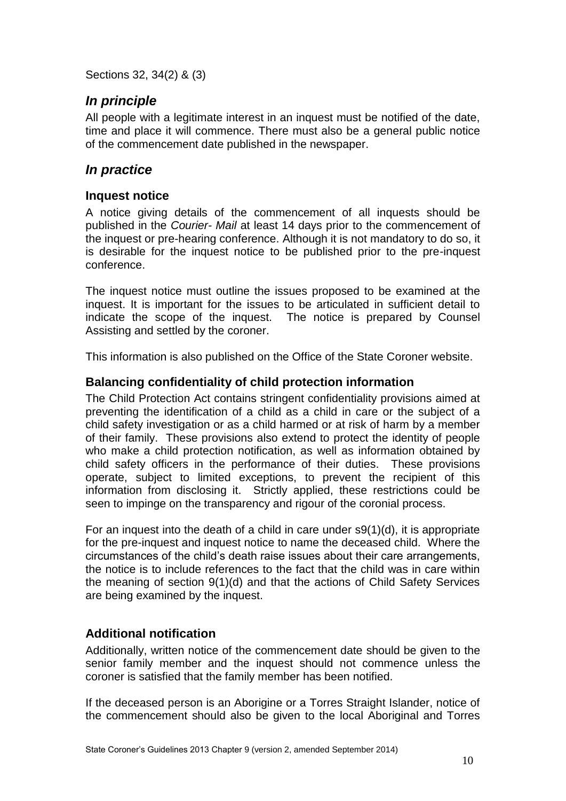Sections 32, 34(2) & (3)

## <span id="page-9-0"></span>*In principle*

All people with a legitimate interest in an inquest must be notified of the date, time and place it will commence. There must also be a general public notice of the commencement date published in the newspaper.

## <span id="page-9-1"></span>*In practice*

### <span id="page-9-2"></span>**Inquest notice**

A notice giving details of the commencement of all inquests should be published in the *Courier- Mail* at least 14 days prior to the commencement of the inquest or pre-hearing conference. Although it is not mandatory to do so, it is desirable for the inquest notice to be published prior to the pre-inquest conference.

The inquest notice must outline the issues proposed to be examined at the inquest. It is important for the issues to be articulated in sufficient detail to indicate the scope of the inquest. The notice is prepared by Counsel Assisting and settled by the coroner.

This information is also published on the Office of the State Coroner website.

## <span id="page-9-3"></span>**Balancing confidentiality of child protection information**

The Child Protection Act contains stringent confidentiality provisions aimed at preventing the identification of a child as a child in care or the subject of a child safety investigation or as a child harmed or at risk of harm by a member of their family. These provisions also extend to protect the identity of people who make a child protection notification, as well as information obtained by child safety officers in the performance of their duties. These provisions operate, subject to limited exceptions, to prevent the recipient of this information from disclosing it. Strictly applied, these restrictions could be seen to impinge on the transparency and rigour of the coronial process.

For an inquest into the death of a child in care under s9(1)(d), it is appropriate for the pre-inquest and inquest notice to name the deceased child. Where the circumstances of the child's death raise issues about their care arrangements, the notice is to include references to the fact that the child was in care within the meaning of section 9(1)(d) and that the actions of Child Safety Services are being examined by the inquest.

## <span id="page-9-4"></span>**Additional notification**

Additionally, written notice of the commencement date should be given to the senior family member and the inquest should not commence unless the coroner is satisfied that the family member has been notified.

If the deceased person is an Aborigine or a Torres Straight Islander, notice of the commencement should also be given to the local Aboriginal and Torres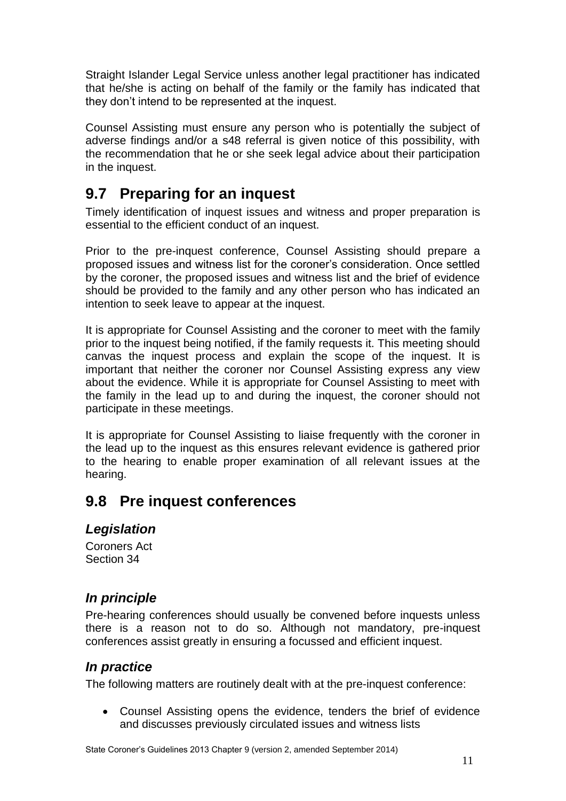Straight Islander Legal Service unless another legal practitioner has indicated that he/she is acting on behalf of the family or the family has indicated that they don't intend to be represented at the inquest.

Counsel Assisting must ensure any person who is potentially the subject of adverse findings and/or a s48 referral is given notice of this possibility, with the recommendation that he or she seek legal advice about their participation in the inquest.

# <span id="page-10-0"></span>**9.7 Preparing for an inquest**

Timely identification of inquest issues and witness and proper preparation is essential to the efficient conduct of an inquest.

Prior to the pre-inquest conference, Counsel Assisting should prepare a proposed issues and witness list for the coroner's consideration. Once settled by the coroner, the proposed issues and witness list and the brief of evidence should be provided to the family and any other person who has indicated an intention to seek leave to appear at the inquest.

It is appropriate for Counsel Assisting and the coroner to meet with the family prior to the inquest being notified, if the family requests it. This meeting should canvas the inquest process and explain the scope of the inquest. It is important that neither the coroner nor Counsel Assisting express any view about the evidence. While it is appropriate for Counsel Assisting to meet with the family in the lead up to and during the inquest, the coroner should not participate in these meetings.

It is appropriate for Counsel Assisting to liaise frequently with the coroner in the lead up to the inquest as this ensures relevant evidence is gathered prior to the hearing to enable proper examination of all relevant issues at the hearing.

# <span id="page-10-1"></span>**9.8 Pre inquest conferences**

## <span id="page-10-2"></span>*Legislation*

Coroners Act Section 34

## <span id="page-10-3"></span>*In principle*

Pre-hearing conferences should usually be convened before inquests unless there is a reason not to do so. Although not mandatory, pre-inquest conferences assist greatly in ensuring a focussed and efficient inquest.

## <span id="page-10-4"></span>*In practice*

The following matters are routinely dealt with at the pre-inquest conference:

 Counsel Assisting opens the evidence, tenders the brief of evidence and discusses previously circulated issues and witness lists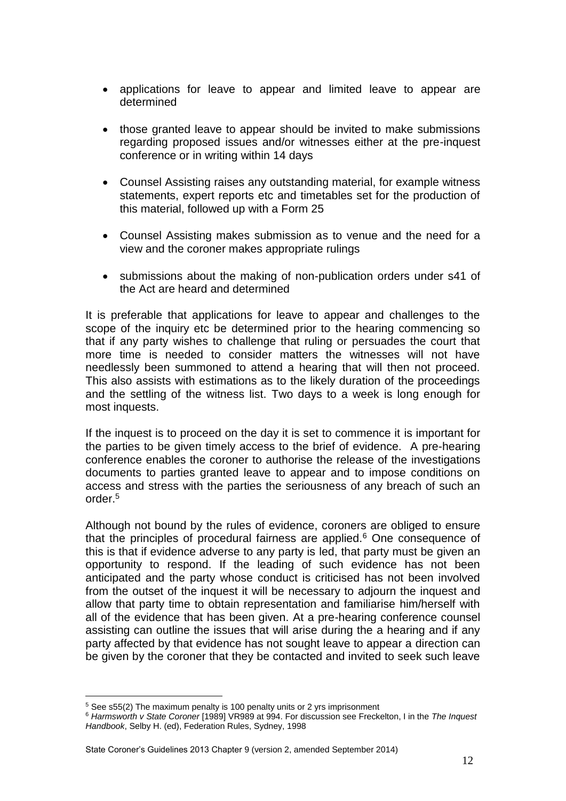- applications for leave to appear and limited leave to appear are determined
- those granted leave to appear should be invited to make submissions regarding proposed issues and/or witnesses either at the pre-inquest conference or in writing within 14 days
- Counsel Assisting raises any outstanding material, for example witness statements, expert reports etc and timetables set for the production of this material, followed up with a Form 25
- Counsel Assisting makes submission as to venue and the need for a view and the coroner makes appropriate rulings
- submissions about the making of non-publication orders under s41 of the Act are heard and determined

It is preferable that applications for leave to appear and challenges to the scope of the inquiry etc be determined prior to the hearing commencing so that if any party wishes to challenge that ruling or persuades the court that more time is needed to consider matters the witnesses will not have needlessly been summoned to attend a hearing that will then not proceed. This also assists with estimations as to the likely duration of the proceedings and the settling of the witness list. Two days to a week is long enough for most inquests.

If the inquest is to proceed on the day it is set to commence it is important for the parties to be given timely access to the brief of evidence. A pre-hearing conference enables the coroner to authorise the release of the investigations documents to parties granted leave to appear and to impose conditions on access and stress with the parties the seriousness of any breach of such an order.<sup>5</sup>

Although not bound by the rules of evidence, coroners are obliged to ensure that the principles of procedural fairness are applied. $6$  One consequence of this is that if evidence adverse to any party is led, that party must be given an opportunity to respond. If the leading of such evidence has not been anticipated and the party whose conduct is criticised has not been involved from the outset of the inquest it will be necessary to adjourn the inquest and allow that party time to obtain representation and familiarise him/herself with all of the evidence that has been given. At a pre-hearing conference counsel assisting can outline the issues that will arise during the a hearing and if any party affected by that evidence has not sought leave to appear a direction can be given by the coroner that they be contacted and invited to seek such leave

<sup>5</sup> See s55(2) The maximum penalty is 100 penalty units or 2 yrs imprisonment

<sup>6</sup> *Harmsworth v State Coroner* [1989] VR989 at 994. For discussion see Freckelton, I in the *The Inquest Handbook*, Selby H. (ed), Federation Rules, Sydney, 1998

State Coroner's Guidelines 2013 Chapter 9 (version 2, amended September 2014)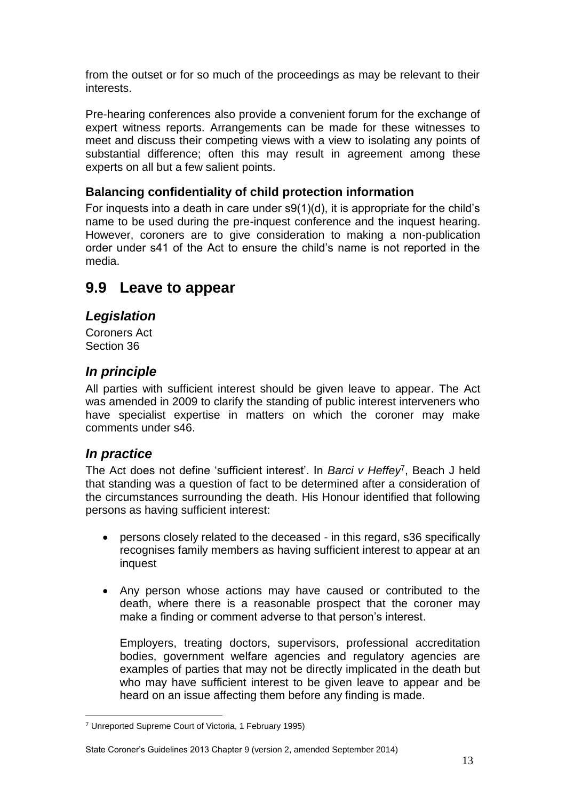from the outset or for so much of the proceedings as may be relevant to their interests.

Pre-hearing conferences also provide a convenient forum for the exchange of expert witness reports. Arrangements can be made for these witnesses to meet and discuss their competing views with a view to isolating any points of substantial difference; often this may result in agreement among these experts on all but a few salient points.

### <span id="page-12-0"></span>**Balancing confidentiality of child protection information**

For inquests into a death in care under s9(1)(d), it is appropriate for the child's name to be used during the pre-inquest conference and the inquest hearing. However, coroners are to give consideration to making a non-publication order under s41 of the Act to ensure the child's name is not reported in the media.

## <span id="page-12-1"></span>**9.9 Leave to appear**

## <span id="page-12-2"></span>*Legislation*

Coroners Act Section 36

## <span id="page-12-3"></span>*In principle*

All parties with sufficient interest should be given leave to appear. The Act was amended in 2009 to clarify the standing of public interest interveners who have specialist expertise in matters on which the coroner may make comments under s46.

## <span id="page-12-4"></span>*In practice*

<u>.</u>

The Act does not define 'sufficient interest'. In *Barci v Heffey*<sup>7</sup> , Beach J held that standing was a question of fact to be determined after a consideration of the circumstances surrounding the death. His Honour identified that following persons as having sufficient interest:

- persons closely related to the deceased in this regard, s36 specifically recognises family members as having sufficient interest to appear at an inquest
- Any person whose actions may have caused or contributed to the death, where there is a reasonable prospect that the coroner may make a finding or comment adverse to that person's interest.

Employers, treating doctors, supervisors, professional accreditation bodies, government welfare agencies and regulatory agencies are examples of parties that may not be directly implicated in the death but who may have sufficient interest to be given leave to appear and be heard on an issue affecting them before any finding is made.

#### State Coroner's Guidelines 2013 Chapter 9 (version 2, amended September 2014)

<sup>7</sup> Unreported Supreme Court of Victoria, 1 February 1995)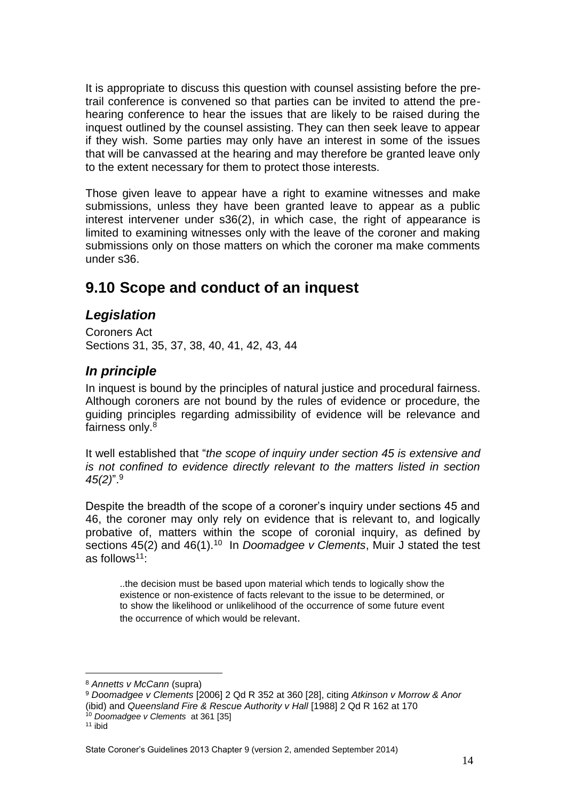It is appropriate to discuss this question with counsel assisting before the pretrail conference is convened so that parties can be invited to attend the prehearing conference to hear the issues that are likely to be raised during the inquest outlined by the counsel assisting. They can then seek leave to appear if they wish. Some parties may only have an interest in some of the issues that will be canvassed at the hearing and may therefore be granted leave only to the extent necessary for them to protect those interests.

Those given leave to appear have a right to examine witnesses and make submissions, unless they have been granted leave to appear as a public interest intervener under s36(2), in which case, the right of appearance is limited to examining witnesses only with the leave of the coroner and making submissions only on those matters on which the coroner ma make comments under s36.

# **9.10 Scope and conduct of an inquest**

## <span id="page-13-0"></span>*Legislation*

Coroners Act Sections 31, 35, 37, 38, 40, 41, 42, 43, 44

## <span id="page-13-1"></span>*In principle*

In inquest is bound by the principles of natural justice and procedural fairness. Although coroners are not bound by the rules of evidence or procedure, the guiding principles regarding admissibility of evidence will be relevance and fairness only.<sup>8</sup>

It well established that "*the scope of inquiry under section 45 is extensive and is not confined to evidence directly relevant to the matters listed in section 45(2)*".<sup>9</sup>

Despite the breadth of the scope of a coroner's inquiry under sections 45 and 46, the coroner may only rely on evidence that is relevant to, and logically probative of, matters within the scope of coronial inquiry, as defined by sections 45(2) and 46(1).<sup>10</sup> In *Doomadgee v Clements*, Muir J stated the test as follows<sup>11</sup>:

..the decision must be based upon material which tends to logically show the existence or non-existence of facts relevant to the issue to be determined, or to show the likelihood or unlikelihood of the occurrence of some future event the occurrence of which would be relevant.

<sup>1</sup> <sup>8</sup> *Annetts v McCann* (supra)

<sup>9</sup> *Doomadgee v Clements* [2006] 2 Qd R 352 at 360 [28], citing *Atkinson v Morrow & Anor* (ibid) and *Queensland Fire & Rescue Authority v Hall* [1988] 2 Qd R 162 at 170

<sup>10</sup> *Doomadgee v Clements* at 361 [35]

 $11$  ibid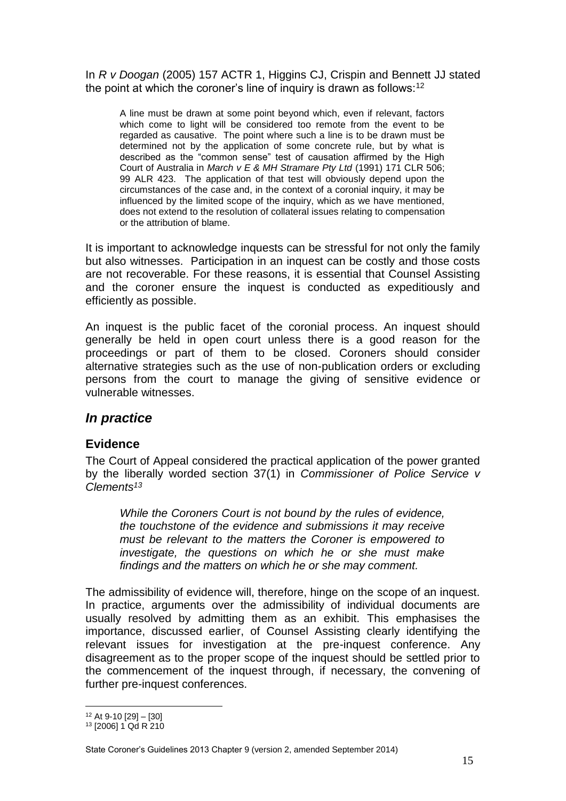In *R v Doogan* (2005) 157 ACTR 1, Higgins CJ, Crispin and Bennett JJ stated the point at which the coroner's line of inquiry is drawn as follows:<sup>12</sup>

A line must be drawn at some point beyond which, even if relevant, factors which come to light will be considered too remote from the event to be regarded as causative. The point where such a line is to be drawn must be determined not by the application of some concrete rule, but by what is described as the "common sense" test of causation affirmed by the High Court of Australia in *March v E & MH Stramare Pty Ltd* (1991) 171 CLR 506; 99 ALR 423. The application of that test will obviously depend upon the circumstances of the case and, in the context of a coronial inquiry, it may be influenced by the limited scope of the inquiry, which as we have mentioned, does not extend to the resolution of collateral issues relating to compensation or the attribution of blame.

It is important to acknowledge inquests can be stressful for not only the family but also witnesses. Participation in an inquest can be costly and those costs are not recoverable. For these reasons, it is essential that Counsel Assisting and the coroner ensure the inquest is conducted as expeditiously and efficiently as possible.

An inquest is the public facet of the coronial process. An inquest should generally be held in open court unless there is a good reason for the proceedings or part of them to be closed. Coroners should consider alternative strategies such as the use of non-publication orders or excluding persons from the court to manage the giving of sensitive evidence or vulnerable witnesses.

## <span id="page-14-0"></span>*In practice*

### <span id="page-14-1"></span>**Evidence**

The Court of Appeal considered the practical application of the power granted by the liberally worded section 37(1) in *Commissioner of Police Service v Clements<sup>13</sup>*

*While the Coroners Court is not bound by the rules of evidence, the touchstone of the evidence and submissions it may receive must be relevant to the matters the Coroner is empowered to investigate, the questions on which he or she must make findings and the matters on which he or she may comment.*

The admissibility of evidence will, therefore, hinge on the scope of an inquest. In practice, arguments over the admissibility of individual documents are usually resolved by admitting them as an exhibit. This emphasises the importance, discussed earlier, of Counsel Assisting clearly identifying the relevant issues for investigation at the pre-inquest conference. Any disagreement as to the proper scope of the inquest should be settled prior to the commencement of the inquest through, if necessary, the convening of further pre-inquest conferences.

1

<sup>12</sup> At 9-10 [29] – [30]

<sup>13</sup> [2006] 1 Qd R 210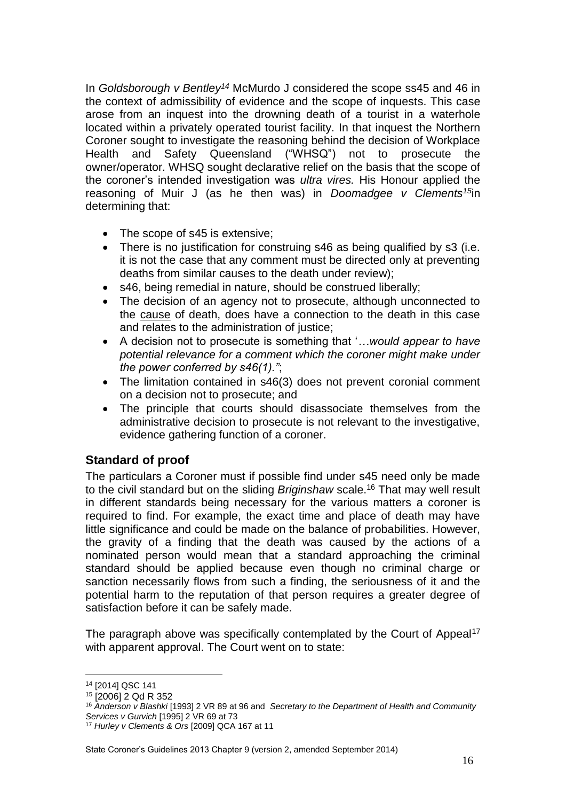In *Goldsborough v Bentley<sup>14</sup>* McMurdo J considered the scope ss45 and 46 in the context of admissibility of evidence and the scope of inquests. This case arose from an inquest into the drowning death of a tourist in a waterhole located within a privately operated tourist facility. In that inquest the Northern Coroner sought to investigate the reasoning behind the decision of Workplace Health and Safety Queensland ("WHSQ") not to prosecute the owner/operator. WHSQ sought declarative relief on the basis that the scope of the coroner's intended investigation was *ultra vires.* His Honour applied the reasoning of Muir J (as he then was) in *Doomadgee v Clements<sup>15</sup>*in determining that:

- The scope of s45 is extensive;
- There is no justification for construing s46 as being qualified by s3 (i.e. it is not the case that any comment must be directed only at preventing deaths from similar causes to the death under review);
- s46, being remedial in nature, should be construed liberally;
- The decision of an agency not to prosecute, although unconnected to the cause of death, does have a connection to the death in this case and relates to the administration of justice;
- A decision not to prosecute is something that '*…would appear to have potential relevance for a comment which the coroner might make under the power conferred by s46(1)."*;
- The limitation contained in s46(3) does not prevent coronial comment on a decision not to prosecute; and
- The principle that courts should disassociate themselves from the administrative decision to prosecute is not relevant to the investigative, evidence gathering function of a coroner.

## <span id="page-15-0"></span>**Standard of proof**

The particulars a Coroner must if possible find under s45 need only be made to the civil standard but on the sliding *Briginshaw* scale.<sup>16</sup> That may well result in different standards being necessary for the various matters a coroner is required to find. For example, the exact time and place of death may have little significance and could be made on the balance of probabilities. However, the gravity of a finding that the death was caused by the actions of a nominated person would mean that a standard approaching the criminal standard should be applied because even though no criminal charge or sanction necessarily flows from such a finding, the seriousness of it and the potential harm to the reputation of that person requires a greater degree of satisfaction before it can be safely made.

The paragraph above was specifically contemplated by the Court of Appeal<sup>17</sup> with apparent approval. The Court went on to state:

1

<sup>14</sup> [2014] QSC 141

<sup>15</sup> [2006] 2 Qd R 352

<sup>16</sup> *Anderson v Blashki* [1993] 2 VR 89 at 96 and *Secretary to the Department of Health and Community Services v Gurvich* [1995] 2 VR 69 at 73

<sup>17</sup> *Hurley v Clements & Ors* [2009] QCA 167 at 11

State Coroner's Guidelines 2013 Chapter 9 (version 2, amended September 2014)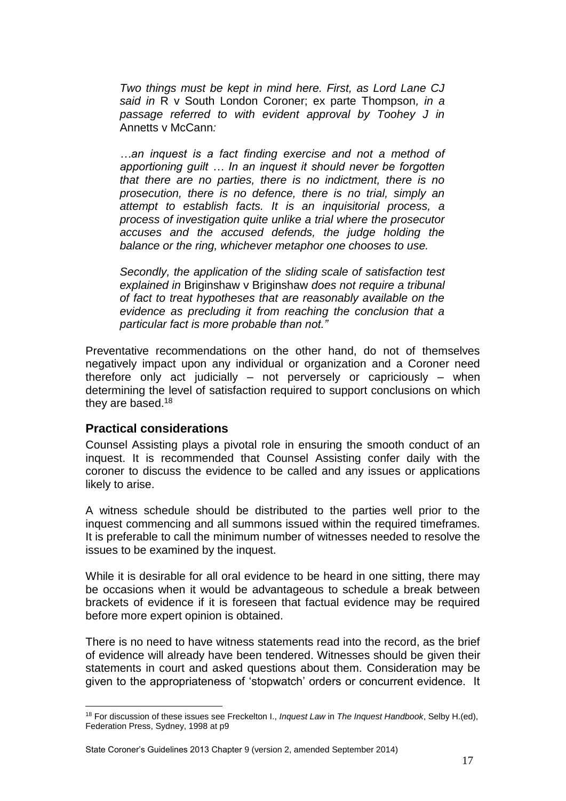*Two things must be kept in mind here. First, as Lord Lane CJ said in* R v South London Coroner; ex parte Thompson*, in a passage referred to with evident approval by Toohey J in*  Annetts v McCann*:*

*…an inquest is a fact finding exercise and not a method of apportioning guilt … In an inquest it should never be forgotten that there are no parties, there is no indictment, there is no prosecution, there is no defence, there is no trial, simply an attempt to establish facts. It is an inquisitorial process, a process of investigation quite unlike a trial where the prosecutor accuses and the accused defends, the judge holding the balance or the ring, whichever metaphor one chooses to use.*

*Secondly, the application of the sliding scale of satisfaction test explained in* Briginshaw v Briginshaw *does not require a tribunal of fact to treat hypotheses that are reasonably available on the evidence as precluding it from reaching the conclusion that a particular fact is more probable than not."*

Preventative recommendations on the other hand, do not of themselves negatively impact upon any individual or organization and a Coroner need therefore only act judicially – not perversely or capriciously – when determining the level of satisfaction required to support conclusions on which they are based.<sup>18</sup>

### <span id="page-16-0"></span>**Practical considerations**

1

Counsel Assisting plays a pivotal role in ensuring the smooth conduct of an inquest. It is recommended that Counsel Assisting confer daily with the coroner to discuss the evidence to be called and any issues or applications likely to arise.

A witness schedule should be distributed to the parties well prior to the inquest commencing and all summons issued within the required timeframes. It is preferable to call the minimum number of witnesses needed to resolve the issues to be examined by the inquest.

While it is desirable for all oral evidence to be heard in one sitting, there may be occasions when it would be advantageous to schedule a break between brackets of evidence if it is foreseen that factual evidence may be required before more expert opinion is obtained.

There is no need to have witness statements read into the record, as the brief of evidence will already have been tendered. Witnesses should be given their statements in court and asked questions about them. Consideration may be given to the appropriateness of 'stopwatch' orders or concurrent evidence. It

<sup>18</sup> For discussion of these issues see Freckelton I., *Inquest Law* in *The Inquest Handbook*, Selby H.(ed), Federation Press, Sydney, 1998 at p9

State Coroner's Guidelines 2013 Chapter 9 (version 2, amended September 2014)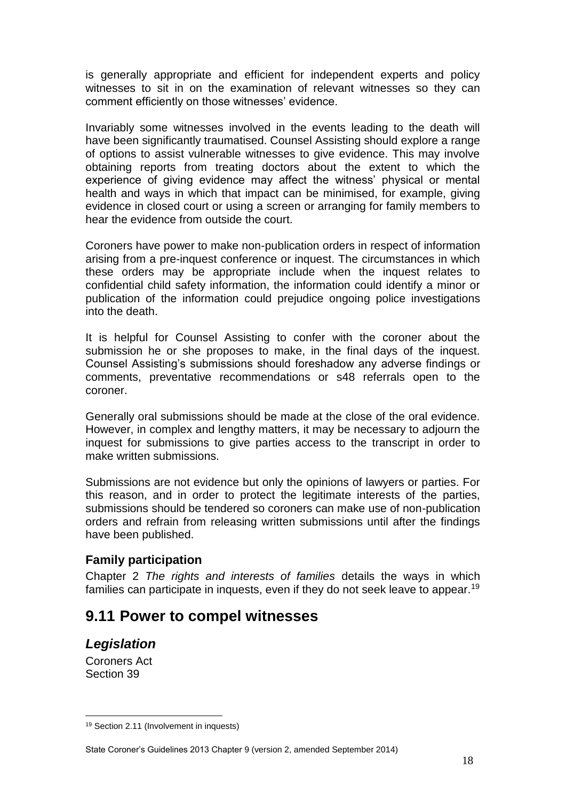is generally appropriate and efficient for independent experts and policy witnesses to sit in on the examination of relevant witnesses so they can comment efficiently on those witnesses' evidence.

Invariably some witnesses involved in the events leading to the death will have been significantly traumatised. Counsel Assisting should explore a range of options to assist vulnerable witnesses to give evidence. This may involve obtaining reports from treating doctors about the extent to which the experience of giving evidence may affect the witness' physical or mental health and ways in which that impact can be minimised, for example, giving evidence in closed court or using a screen or arranging for family members to hear the evidence from outside the court.

Coroners have power to make non-publication orders in respect of information arising from a pre-inquest conference or inquest. The circumstances in which these orders may be appropriate include when the inquest relates to confidential child safety information, the information could identify a minor or publication of the information could prejudice ongoing police investigations into the death.

It is helpful for Counsel Assisting to confer with the coroner about the submission he or she proposes to make, in the final days of the inquest. Counsel Assisting's submissions should foreshadow any adverse findings or comments, preventative recommendations or s48 referrals open to the coroner.

Generally oral submissions should be made at the close of the oral evidence. However, in complex and lengthy matters, it may be necessary to adjourn the inquest for submissions to give parties access to the transcript in order to make written submissions.

Submissions are not evidence but only the opinions of lawyers or parties. For this reason, and in order to protect the legitimate interests of the parties, submissions should be tendered so coroners can make use of non-publication orders and refrain from releasing written submissions until after the findings have been published.

### <span id="page-17-0"></span>**Family participation**

Chapter 2 *The rights and interests of families* details the ways in which families can participate in inquests, even if they do not seek leave to appear.<sup>19</sup>

## <span id="page-17-1"></span>**9.11 Power to compel witnesses**

## <span id="page-17-2"></span>*Legislation*

Coroners Act Section 39

<sup>19</sup> Section 2.11 (Involvement in inquests)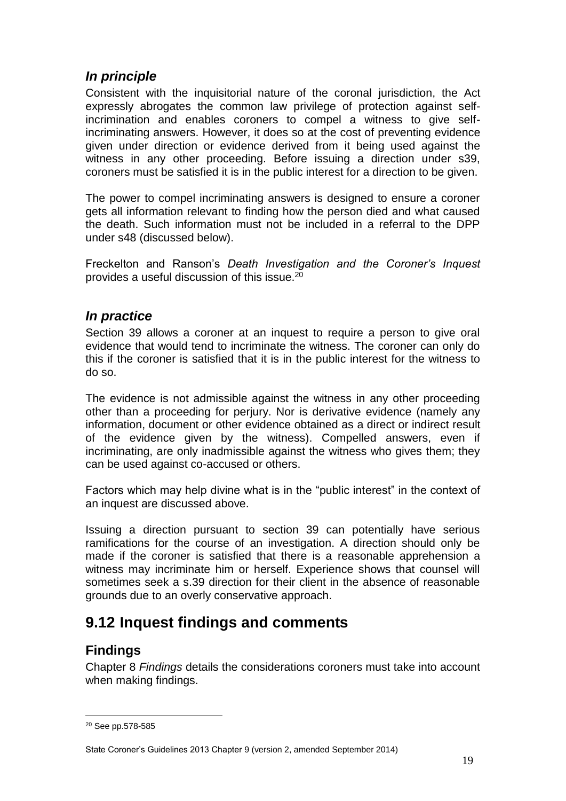## <span id="page-18-0"></span>*In principle*

Consistent with the inquisitorial nature of the coronal jurisdiction, the Act expressly abrogates the common law privilege of protection against selfincrimination and enables coroners to compel a witness to give selfincriminating answers. However, it does so at the cost of preventing evidence given under direction or evidence derived from it being used against the witness in any other proceeding. Before issuing a direction under s39, coroners must be satisfied it is in the public interest for a direction to be given.

The power to compel incriminating answers is designed to ensure a coroner gets all information relevant to finding how the person died and what caused the death. Such information must not be included in a referral to the DPP under s48 (discussed below).

Freckelton and Ranson's *Death Investigation and the Coroner's Inquest*  provides a useful discussion of this issue.<sup>20</sup>

## <span id="page-18-1"></span>*In practice*

Section 39 allows a coroner at an inquest to require a person to give oral evidence that would tend to incriminate the witness. The coroner can only do this if the coroner is satisfied that it is in the public interest for the witness to do so.

The evidence is not admissible against the witness in any other proceeding other than a proceeding for perjury. Nor is derivative evidence (namely any information, document or other evidence obtained as a direct or indirect result of the evidence given by the witness). Compelled answers, even if incriminating, are only inadmissible against the witness who gives them; they can be used against co-accused or others.

Factors which may help divine what is in the "public interest" in the context of an inquest are discussed above.

Issuing a direction pursuant to section 39 can potentially have serious ramifications for the course of an investigation. A direction should only be made if the coroner is satisfied that there is a reasonable apprehension a witness may incriminate him or herself. Experience shows that counsel will sometimes seek a s.39 direction for their client in the absence of reasonable grounds due to an overly conservative approach.

# <span id="page-18-2"></span>**9.12 Inquest findings and comments**

## <span id="page-18-3"></span>**Findings**

Chapter 8 *Findings* details the considerations coroners must take into account when making findings.

<sup>20</sup> See pp.578-585

State Coroner's Guidelines 2013 Chapter 9 (version 2, amended September 2014)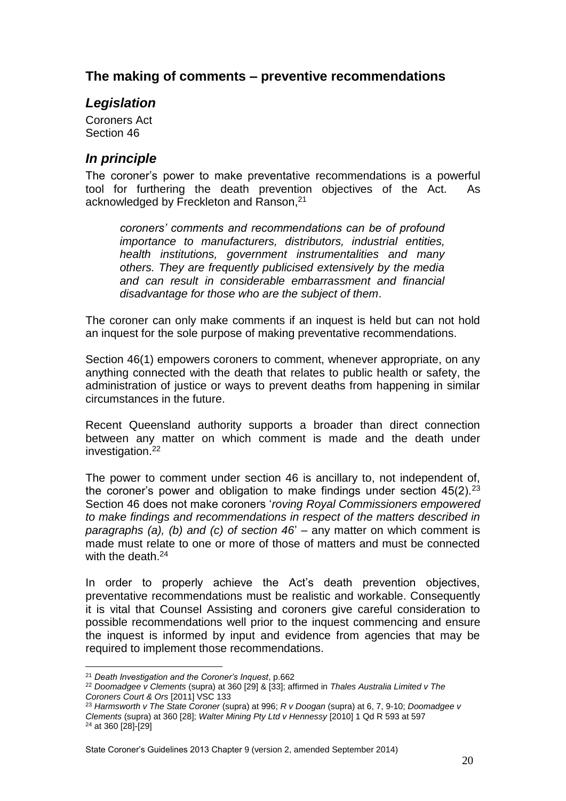## <span id="page-19-0"></span>**The making of comments – preventive recommendations**

### <span id="page-19-1"></span>*Legislation*

Coroners Act Section 46

## <span id="page-19-2"></span>*In principle*

The coroner's power to make preventative recommendations is a powerful tool for furthering the death prevention objectives of the Act. As acknowledged by Freckleton and Ranson, 21

*coroners' comments and recommendations can be of profound importance to manufacturers, distributors, industrial entities, health institutions, government instrumentalities and many others. They are frequently publicised extensively by the media and can result in considerable embarrassment and financial disadvantage for those who are the subject of them*.

The coroner can only make comments if an inquest is held but can not hold an inquest for the sole purpose of making preventative recommendations.

Section 46(1) empowers coroners to comment, whenever appropriate, on any anything connected with the death that relates to public health or safety, the administration of justice or ways to prevent deaths from happening in similar circumstances in the future.

Recent Queensland authority supports a broader than direct connection between any matter on which comment is made and the death under investigation.<sup>22</sup>

The power to comment under section 46 is ancillary to, not independent of, the coroner's power and obligation to make findings under section  $45(2).^{23}$ Section 46 does not make coroners '*roving Royal Commissioners empowered to make findings and recommendations in respect of the matters described in paragraphs (a), (b) and (c) of section 46*' – any matter on which comment is made must relate to one or more of those of matters and must be connected with the death.<sup>24</sup>

In order to properly achieve the Act's death prevention objectives, preventative recommendations must be realistic and workable. Consequently it is vital that Counsel Assisting and coroners give careful consideration to possible recommendations well prior to the inquest commencing and ensure the inquest is informed by input and evidence from agencies that may be required to implement those recommendations.

<u>.</u>

State Coroner's Guidelines 2013 Chapter 9 (version 2, amended September 2014)

<sup>21</sup> *Death Investigation and the Coroner's Inquest*, p.662

<sup>22</sup> *Doomadgee v Clements* (supra) at 360 [29] & [33]; affirmed in *Thales Australia Limited v The Coroners Court & Ors* [2011] VSC 133

<sup>23</sup> *Harmsworth v The State Coroner* (supra) at 996; *R v Doogan* (supra) at 6, 7, 9-10; *Doomadgee v Clements* (supra) at 360 [28]; *Walter Mining Pty Ltd v Hennessy* [2010] 1 Qd R 593 at 597 <sup>24</sup> at 360 [28]-[29]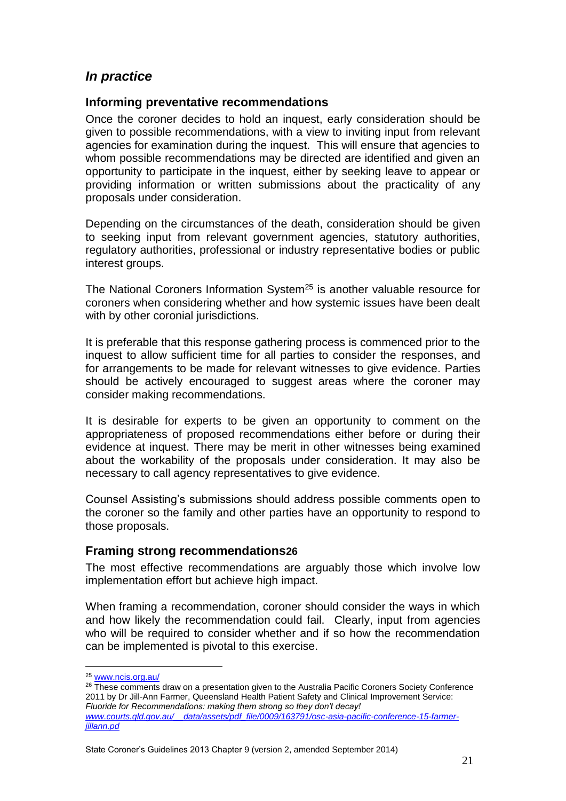## <span id="page-20-0"></span>*In practice*

### <span id="page-20-1"></span>**Informing preventative recommendations**

Once the coroner decides to hold an inquest, early consideration should be given to possible recommendations, with a view to inviting input from relevant agencies for examination during the inquest. This will ensure that agencies to whom possible recommendations may be directed are identified and given an opportunity to participate in the inquest, either by seeking leave to appear or providing information or written submissions about the practicality of any proposals under consideration.

Depending on the circumstances of the death, consideration should be given to seeking input from relevant government agencies, statutory authorities, regulatory authorities, professional or industry representative bodies or public interest groups.

The National Coroners Information System<sup>25</sup> is another valuable resource for coroners when considering whether and how systemic issues have been dealt with by other coronial jurisdictions.

It is preferable that this response gathering process is commenced prior to the inquest to allow sufficient time for all parties to consider the responses, and for arrangements to be made for relevant witnesses to give evidence. Parties should be actively encouraged to suggest areas where the coroner may consider making recommendations.

It is desirable for experts to be given an opportunity to comment on the appropriateness of proposed recommendations either before or during their evidence at inquest. There may be merit in other witnesses being examined about the workability of the proposals under consideration. It may also be necessary to call agency representatives to give evidence.

Counsel Assisting's submissions should address possible comments open to the coroner so the family and other parties have an opportunity to respond to those proposals.

### <span id="page-20-2"></span>**Framing strong recommendations26**

The most effective recommendations are arguably those which involve low implementation effort but achieve high impact.

When framing a recommendation, coroner should consider the ways in which and how likely the recommendation could fail. Clearly, input from agencies who will be required to consider whether and if so how the recommendation can be implemented is pivotal to this exercise.

<sup>25</sup> [www.ncis.org.au/](http://www.ncis.org.au/)

<sup>&</sup>lt;sup>26</sup> These comments draw on a presentation given to the Australia Pacific Coroners Society Conference 2011 by Dr Jill-Ann Farmer, Queensland Health Patient Safety and Clinical Improvement Service: *Fluoride for Recommendations: making them strong so they don't decay! [www.courts.qld.gov.au/\\_\\_data/assets/pdf\\_file/0009/163791/osc-asia-pacific-conference-15-farmer](http://www.courts.qld.gov.au/__data/assets/pdf_file/0009/163791/osc-asia-pacific-conference-15-farmer-jillann.pd)[jillann.pd](http://www.courts.qld.gov.au/__data/assets/pdf_file/0009/163791/osc-asia-pacific-conference-15-farmer-jillann.pd)*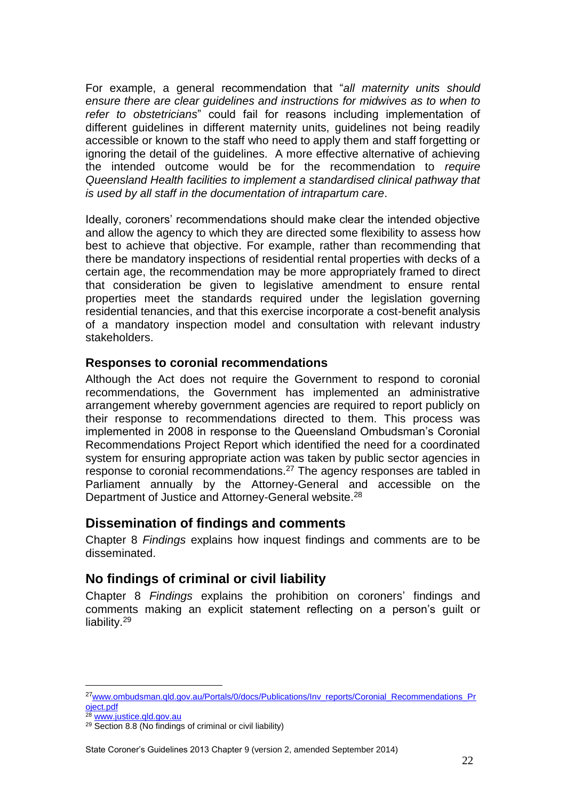For example, a general recommendation that "*all maternity units should ensure there are clear guidelines and instructions for midwives as to when to refer to obstetricians*" could fail for reasons including implementation of different guidelines in different maternity units, guidelines not being readily accessible or known to the staff who need to apply them and staff forgetting or ignoring the detail of the guidelines. A more effective alternative of achieving the intended outcome would be for the recommendation to *require Queensland Health facilities to implement a standardised clinical pathway that is used by all staff in the documentation of intrapartum care*.

Ideally, coroners' recommendations should make clear the intended objective and allow the agency to which they are directed some flexibility to assess how best to achieve that objective. For example, rather than recommending that there be mandatory inspections of residential rental properties with decks of a certain age, the recommendation may be more appropriately framed to direct that consideration be given to legislative amendment to ensure rental properties meet the standards required under the legislation governing residential tenancies, and that this exercise incorporate a cost-benefit analysis of a mandatory inspection model and consultation with relevant industry stakeholders.

### <span id="page-21-0"></span>**Responses to coronial recommendations**

Although the Act does not require the Government to respond to coronial recommendations, the Government has implemented an administrative arrangement whereby government agencies are required to report publicly on their response to recommendations directed to them. This process was implemented in 2008 in response to the Queensland Ombudsman's Coronial Recommendations Project Report which identified the need for a coordinated system for ensuring appropriate action was taken by public sector agencies in response to coronial recommendations.<sup>27</sup> The agency responses are tabled in Parliament annually by the Attorney-General and accessible on the Department of Justice and Attorney-General website.<sup>28</sup>

### <span id="page-21-1"></span>**Dissemination of findings and comments**

Chapter 8 *Findings* explains how inquest findings and comments are to be disseminated.

## <span id="page-21-2"></span>**No findings of criminal or civil liability**

Chapter 8 *Findings* explains the prohibition on coroners' findings and comments making an explicit statement reflecting on a person's guilt or liability.<sup>29</sup>

<sup>&</sup>lt;sup>27</sup>[www.ombudsman.qld.gov.au/Portals/0/docs/Publications/Inv\\_reports/Coronial\\_Recommendations\\_Pr](http://www.ombudsman.qld.gov.au/Portals/0/docs/Publications/Inv_reports/Coronial_Recommendations_Project.pdf) [oject.pdf](http://www.ombudsman.qld.gov.au/Portals/0/docs/Publications/Inv_reports/Coronial_Recommendations_Project.pdf)

<sup>28</sup> www.justice.gld.gov.au

<sup>29</sup> Section 8.8 (No findings of criminal or civil liability)

State Coroner's Guidelines 2013 Chapter 9 (version 2, amended September 2014)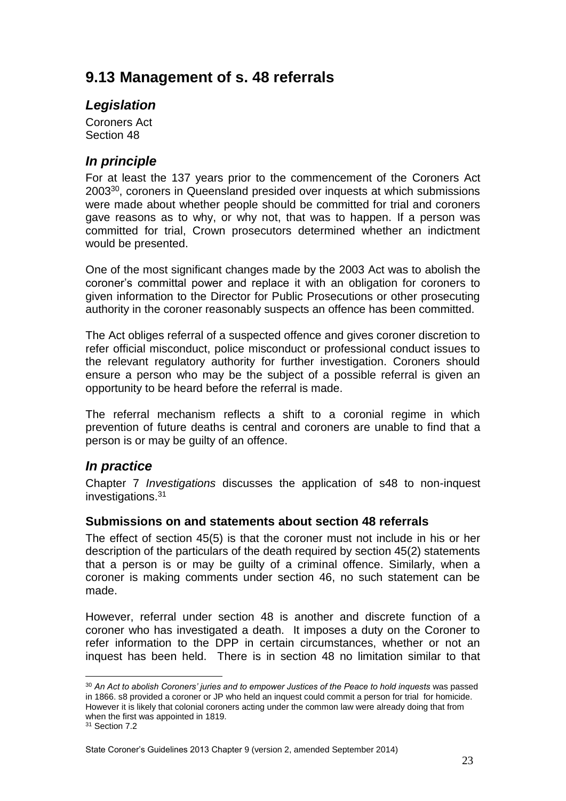# <span id="page-22-0"></span>**9.13 Management of s. 48 referrals**

## <span id="page-22-1"></span>*Legislation*

Coroners Act Section 48

## <span id="page-22-2"></span>*In principle*

For at least the 137 years prior to the commencement of the Coroners Act 2003<sup>30</sup>, coroners in Queensland presided over inquests at which submissions were made about whether people should be committed for trial and coroners gave reasons as to why, or why not, that was to happen. If a person was committed for trial, Crown prosecutors determined whether an indictment would be presented.

One of the most significant changes made by the 2003 Act was to abolish the coroner's committal power and replace it with an obligation for coroners to given information to the Director for Public Prosecutions or other prosecuting authority in the coroner reasonably suspects an offence has been committed.

The Act obliges referral of a suspected offence and gives coroner discretion to refer official misconduct, police misconduct or professional conduct issues to the relevant regulatory authority for further investigation. Coroners should ensure a person who may be the subject of a possible referral is given an opportunity to be heard before the referral is made.

The referral mechanism reflects a shift to a coronial regime in which prevention of future deaths is central and coroners are unable to find that a person is or may be guilty of an offence.

## <span id="page-22-3"></span>*In practice*

Chapter 7 *Investigations* discusses the application of s48 to non-inquest investigations.<sup>31</sup>

### <span id="page-22-4"></span>**Submissions on and statements about section 48 referrals**

The effect of section 45(5) is that the coroner must not include in his or her description of the particulars of the death required by section 45(2) statements that a person is or may be guilty of a criminal offence. Similarly, when a coroner is making comments under section 46, no such statement can be made.

However, referral under section 48 is another and discrete function of a coroner who has investigated a death. It imposes a duty on the Coroner to refer information to the DPP in certain circumstances, whether or not an inquest has been held. There is in section 48 no limitation similar to that

1

<sup>&</sup>lt;sup>30</sup> An Act to abolish Coroners' juries and to empower Justices of the Peace to hold inquests was passed in 1866. s8 provided a coroner or JP who held an inquest could commit a person for trial for homicide. However it is likely that colonial coroners acting under the common law were already doing that from when the first was appointed in 1819.

<sup>31</sup> Section 7.2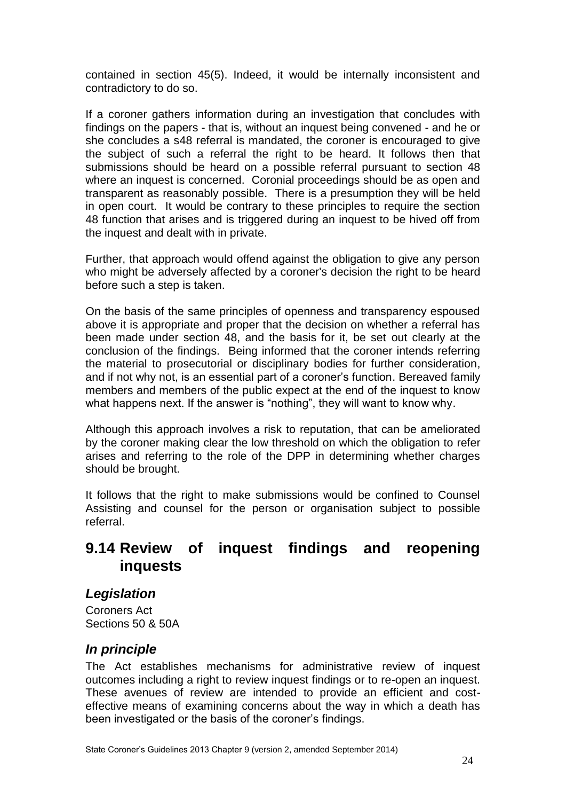contained in section 45(5). Indeed, it would be internally inconsistent and contradictory to do so.

If a coroner gathers information during an investigation that concludes with findings on the papers - that is, without an inquest being convened - and he or she concludes a s48 referral is mandated, the coroner is encouraged to give the subject of such a referral the right to be heard. It follows then that submissions should be heard on a possible referral pursuant to section 48 where an inquest is concerned. Coronial proceedings should be as open and transparent as reasonably possible. There is a presumption they will be held in open court. It would be contrary to these principles to require the section 48 function that arises and is triggered during an inquest to be hived off from the inquest and dealt with in private.

Further, that approach would offend against the obligation to give any person who might be adversely affected by a coroner's decision the right to be heard before such a step is taken.

On the basis of the same principles of openness and transparency espoused above it is appropriate and proper that the decision on whether a referral has been made under section 48, and the basis for it, be set out clearly at the conclusion of the findings. Being informed that the coroner intends referring the material to prosecutorial or disciplinary bodies for further consideration, and if not why not, is an essential part of a coroner's function. Bereaved family members and members of the public expect at the end of the inquest to know what happens next. If the answer is "nothing", they will want to know why.

Although this approach involves a risk to reputation, that can be ameliorated by the coroner making clear the low threshold on which the obligation to refer arises and referring to the role of the DPP in determining whether charges should be brought.

It follows that the right to make submissions would be confined to Counsel Assisting and counsel for the person or organisation subject to possible referral.

## <span id="page-23-0"></span>**9.14 Review of inquest findings and reopening inquests**

### <span id="page-23-1"></span>*Legislation*

Coroners Act Sections 50 & 50A

## <span id="page-23-2"></span>*In principle*

The Act establishes mechanisms for administrative review of inquest outcomes including a right to review inquest findings or to re-open an inquest. These avenues of review are intended to provide an efficient and costeffective means of examining concerns about the way in which a death has been investigated or the basis of the coroner's findings.